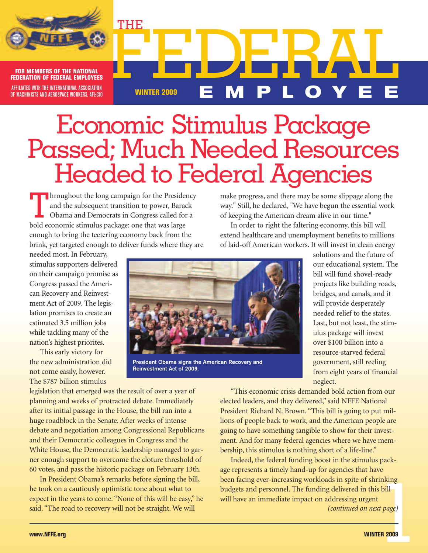

FEDERATION OF FEDERAL EMPLOYEE AFFILIATED WITH THE INTERNATIONAL ASSOCIATION FOR MEMBERS OF THE NATIONAL I I I I OF MACHINISTS AND AEROSPACE WORKERS, AFL-CIO

# Economic Stimulus Package<br>Passed; Much Needed Resources Headed to Federal Agencies

In roughout the long campaign for the Presidency<br>and the subsequent transition to power, Barack<br>Obama and Democrats in Congress called for a<br>hold economic stimulus package: one that was large and the subsequent transition to power, Barack Obama and Democrats in Congress called for a bold economic stimulus package: one that was large enough to bring the teetering economy back from the brink, yet targeted enough to deliver funds where they are

THE

make progress, and there may be some slippage along the way." Still, he declared, "We have begun the essential work of keeping the American dream alive in our time."

**WINTER <sup>2009</sup> E M P L O Y E E**

In order to right the faltering economy, this bill will extend healthcare and unemployment benefits to millions of laid-off American workers. It will invest in clean energy

needed most. In February, stimulus supporters delivered on their campaign promise as Congress passed the American Recovery and Reinvestment Act of 2009. The legislation promises to create an estimated 3.5 million jobs while tackling many of the nation's highest priorites.

This early victory for the new administration did not come easily, however. The \$787 billion stimulus



**President Obama signs the American Recovery and Reinvestment Act of 2009.**

legislation that emerged was the result of over a year of planning and weeks of protracted debate. Immediately after its initial passage in the House, the bill ran into a huge roadblock in the Senate. After weeks of intense debate and negotiation among Congressional Republicans and their Democratic colleagues in Congress and the White House, the Democratic leadership managed to garner enough support to overcome the cloture threshold of 60 votes, and pass the historic package on February 13th.

In President Obama's remarks before signing the bill, he took on a cautiously optimistic tone about what to expect in the years to come. "None of this will be easy," he said. "The road to recovery will not be straight. We will *(continued on next page)*

solutions and the future of our educational system. The bill will fund shovel-ready projects like building roads, bridges, and canals, and it will provide desperately needed relief to the states. Last, but not least, the stimulus package will invest over \$100 billion into a resource-starved federal government, still reeling from eight years of financial neglect.

"This economic crisis demanded bold action from our elected leaders, and they delivered," said NFFE National President Richard N. Brown. "This bill is going to put millions of people back to work, and the American people are going to have something tangible to show for their investment. And for many federal agencies where we have membership, this stimulus is nothing short of a life-line."

rinking<br>s bill<br>t<br>xt page)<br>**TER 2009** Indeed, the federal funding boost in the stimulus package represents a timely hand-up for agencies that have been facing ever-increasing workloads in spite of shrinking budgets and personnel. The funding delivered in this bill will have an immediate impact on addressing urgent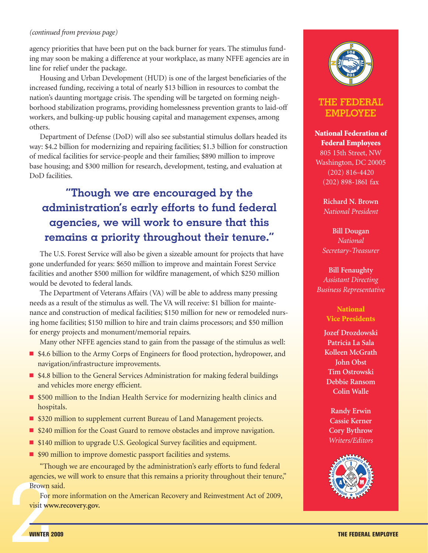#### *(continued from previous page)*

agency priorities that have been put on the back burner for years. The stimulus funding may soon be making a difference at your workplace, as many NFFE agencies are in line for relief under the package.

Housing and Urban Development (HUD) is one of the largest beneficiaries of the increased funding, receiving a total of nearly \$13 billion in resources to combat the nation's daunting mortgage crisis. The spending will be targeted on forming neighborhood stabilization programs, providing homelessness prevention grants to laid-off workers, and bulking-up public housing capital and management expenses, among others.

Department of Defense (DoD) will also see substantial stimulus dollars headed its way: \$4.2 billion for modernizing and repairing facilities; \$1.3 billion for construction of medical facilities for service-people and their families; \$890 million to improve base housing; and \$300 million for research, development, testing, and evaluation at DoD facilities.

### **"Though we are encouraged by the administration's early efforts to fund federal agencies, we will work to ensure that this remains a priority throughout their tenure."**

The U.S. Forest Service will also be given a sizeable amount for projects that have gone underfunded for years: \$650 million to improve and maintain Forest Service facilities and another \$500 million for wildfire management, of which \$250 million would be devoted to federal lands.

The Department of Veterans Affairs (VA) will be able to address many pressing needs as a result of the stimulus as well. The VA will receive: \$1 billion for maintenance and construction of medical facilities; \$150 million for new or remodeled nursing home facilities; \$150 million to hire and train claims processors; and \$50 million for energy projects and monument/memorial repairs.

Many other NFFE agencies stand to gain from the passage of the stimulus as well:

- \$4.6 billion to the Army Corps of Engineers for flood protection, hydropower, and navigation/infrastructure improvements.
- \$4.8 billion to the General Services Administration for making federal buildings and vehicles more energy efficient.
- \$500 million to the Indian Health Service for modernizing health clinics and hospitals.
- \$320 million to supplement current Bureau of Land Management projects.
- \$240 million for the Coast Guard to remove obstacles and improve navigation.
- \$140 million to upgrade U.S. Geological Survey facilities and equipment.
- \$90 million to improve domestic passport facilities and systems.

"Though we are encouraged by the administration's early efforts to fund federal agencies, we will work to ensure that this remains a priority throughout their tenure," Brown said.

Exercise<br>Brown<br>For<br>visit www<br>WINTER For more information on the American Recovery and Reinvestment Act of 2009, visit **www.recovery.gov.**



### **THE FEDERAL EMPLOYEE**

**National Federation of Federal Employees**

805 15th Street, NW Washington, DC 20005 (202) 816-4420 (202) 898-1861 fax

> **Richard N. Brown** *National President*

**Bill Dougan** *National Secretary-Treasurer*

**Bill Fenaughty** *Assistant Directing Business Representative*

### **National Vice Presidents**

**Jozef Drozdowski Patricia La Sala Kolleen McGrath John Obst Tim Ostrowski Debbie Ransom Colin Walle**

**Randy Erwin Cassie Kerner Cory Bythrow** *Writers/Editors*

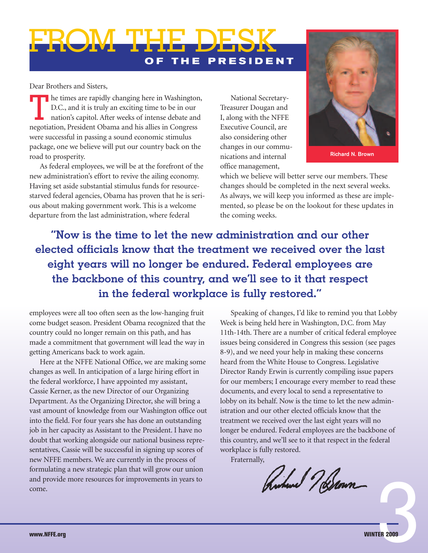## **O F T H E P R E S I D E N T** FROM THE DESK

Dear Brothers and Sisters,

The times are rapidly changing here in Washington,<br>D.C., and it is truly an exciting time to be in our<br>nation's capitol. After weeks of intense debate and<br>negotiation. President Obama and his allies in Congress. D.C., and it is truly an exciting time to be in our nation's capitol. After weeks of intense debate and negotiation, President Obama and his allies in Congress were successful in passing a sound economic stimulus package, one we believe will put our country back on the road to prosperity.

As federal employees, we will be at the forefront of the new administration's effort to revive the ailing economy. Having set aside substantial stimulus funds for resourcestarved federal agencies, Obama has proven that he is serious about making government work. This is a welcome departure from the last administration, where federal

National Secretary-Treasurer Dougan and I, along with the NFFE Executive Council, are also considering other changes in our communications and internal office management,



**Richard N. Brown**

which we believe will better serve our members. These changes should be completed in the next several weeks. As always, we will keep you informed as these are implemented, so please be on the lookout for these updates in the coming weeks.

**"Now is the time to let the new administration and our other elected officials know that the treatment we received over the last eight years will no longer be endured. Federal employees are the backbone of this country, and we'll see to it that respect in the federal workplace is fully restored."**

employees were all too often seen as the low-hanging fruit come budget season. President Obama recognized that the country could no longer remain on this path, and has made a commitment that government will lead the way in getting Americans back to work again.

Here at the NFFE National Office, we are making some changes as well. In anticipation of a large hiring effort in the federal workforce, I have appointed my assistant, Cassie Kerner, as the new Director of our Organizing Department. As the Organizing Director, she will bring a vast amount of knowledge from our Washington office out into the field. For four years she has done an outstanding job in her capacity as Assistant to the President. I have no doubt that working alongside our national business representatives, Cassie will be successful in signing up scores of new NFFE members. We are currently in the process of formulating a new strategic plan that will grow our union and provide more resources for improvements in years to come.

Speaking of changes, I'd like to remind you that Lobby Week is being held here in Washington, D.C. from May 11th-14th. There are a number of critical federal employee issues being considered in Congress this session (see pages 8-9), and we need your help in making these concerns heard from the White House to Congress. Legislative Director Randy Erwin is currently compiling issue papers for our members; I encourage every member to read these documents, and every local to send a representative to lobby on its behalf. Now is the time to let the new administration and our other elected officials know that the treatment we received over the last eight years will no longer be endured. Federal employees are the backbone of this country, and we'll see to it that respect in the federal workplace is fully restored.

Fraternally,

Ruhen 7 Stann

3**ER 2009**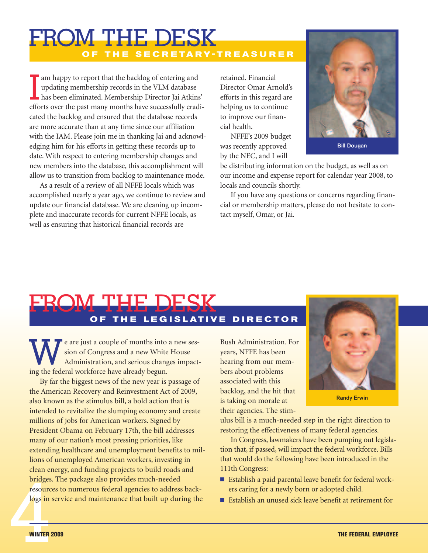### **O F T H E S E C R E TA R Y - T R E A S U R E R** FROM THE DESK

I am happy to report that the backlog of entering and updating membership records in the VLM database has been eliminated. Membership Director Jai Atkins' efforts over the past many months have successfully eradicated the backlog and ensured that the database records are more accurate than at any time since our affiliation with the IAM. Please join me in thanking Jai and acknowledging him for his efforts in getting these records up to date. With respect to entering membership changes and new members into the database, this accomplishment will allow us to transition from backlog to maintenance mode.

As a result of a review of all NFFE locals which was accomplished nearly a year ago, we continue to review and update our financial database. We are cleaning up incomplete and inaccurate records for current NFFE locals, as well as ensuring that historical financial records are

retained. Financial Director Omar Arnold's efforts in this regard are helping us to continue to improve our financial health.

NFFE's 2009 budget was recently approved by the NEC, and I will



be distributing information on the budget, as well as on our income and expense report for calendar year 2008, to locals and councils shortly.

If you have any questions or concerns regarding financial or membership matters, please do not hesitate to contact myself, Omar, or Jai.

## **O F T H E L E G I S L AT I V E D I R E C T O R** FROM THE DESK

e are just a couple of months into a new session of Congress and a new White House Administration, and serious changes impacting the federal workforce have already begun.

Bridges<br>
resourc<br>
logs in By far the biggest news of the new year is passage of the American Recovery and Reinvestment Act of 2009, also known as the stimulus bill, a bold action that is intended to revitalize the slumping economy and create millions of jobs for American workers. Signed by President Obama on February 17th, the bill addresses many of our nation's most pressing priorities, like extending healthcare and unemployment benefits to millions of unemployed American workers, investing in clean energy, and funding projects to build roads and bridges. The package also provides much-needed resources to numerous federal agencies to address backlogs in service and maintenance that built up during the

Bush Administration. For years, NFFE has been hearing from our members about problems associated with this backlog, and the hit that is taking on morale at their agencies. The stim-



**Randy Erwin**

ulus bill is a much-needed step in the right direction to restoring the effectiveness of many federal agencies.

In Congress, lawmakers have been pumping out legislation that, if passed, will impact the federal workforce. Bills that would do the following have been introduced in the 111th Congress:

- Establish a paid parental leave benefit for federal workers caring for a newly born or adopted child.
- Establish an unused sick leave benefit at retirement for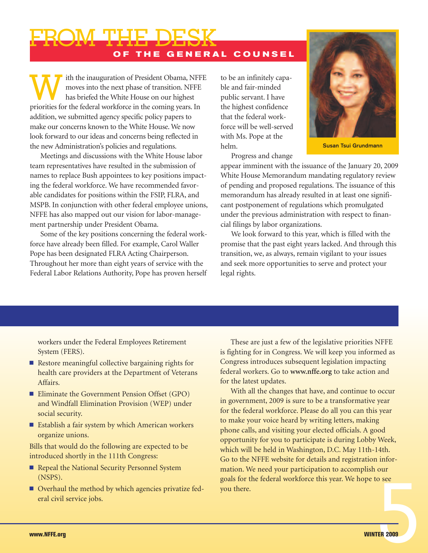**O F T H E G E N E R A L C O U N S E L** FROM THE DESK

Ith the inauguration of President Obama, NFFE<br>moves into the next phase of transition. NFFE<br>has briefed the White House on our highest<br>priorities for the federal workforce in the comine years. In moves into the next phase of transition. NFFE has briefed the White House on our highest priorities for the federal workforce in the coming years. In addition, we submitted agency specific policy papers to make our concerns known to the White House. We now look forward to our ideas and concerns being reflected in the new Administration's policies and regulations.

Meetings and discussions with the White House labor team representatives have resulted in the submission of names to replace Bush appointees to key positions impacting the federal workforce. We have recommended favorable candidates for positions within the FSIP, FLRA, and MSPB. In conjunction with other federal employee unions, NFFE has also mapped out our vision for labor-management partnership under President Obama.

Some of the key positions concerning the federal workforce have already been filled. For example, Carol Waller Pope has been designated FLRA Acting Chairperson. Throughout her more than eight years of service with the Federal Labor Relations Authority, Pope has proven herself to be an infinitely capable and fair-minded public servant. I have the highest confidence that the federal workforce will be well-served with Ms. Pope at the helm.

Progress and change



**Susan Tsui Grundmann**

appear imminent with the issuance of the January 20, 2009 White House Memorandum mandating regulatory review of pending and proposed regulations. The issuance of this memorandum has already resulted in at least one significant postponement of regulations which promulgated under the previous administration with respect to financial filings by labor organizations.

We look forward to this year, which is filled with the promise that the past eight years lacked. And through this transition, we, as always, remain vigilant to your issues and seek more opportunities to serve and protect your legal rights.

workers under the Federal Employees Retirement System (FERS).

- Restore meaningful collective bargaining rights for health care providers at the Department of Veterans Affairs.
- Eliminate the Government Pension Offset (GPO) and Windfall Elimination Provision (WEP) under social security.
- Establish a fair system by which American workers organize unions.

Bills that would do the following are expected to be introduced shortly in the 111th Congress:

- Repeal the National Security Personnel System (NSPS).
- Overhaul the method by which agencies privatize federal civil service jobs.

These are just a few of the legislative priorities NFFE is fighting for in Congress. We will keep you informed as Congress introduces subsequent legislation impacting federal workers. Go to **www.nffe.org** to take action and for the latest updates.

5**ER 2009** With all the changes that have, and continue to occur in government, 2009 is sure to be a transformative year for the federal workforce. Please do all you can this year to make your voice heard by writing letters, making phone calls, and visiting your elected officials. A good opportunity for you to participate is during Lobby Week, which will be held in Washington, D.C. May 11th-14th. Go to the NFFE website for details and registration information. We need your participation to accomplish our goals for the federal workforce this year. We hope to see you there.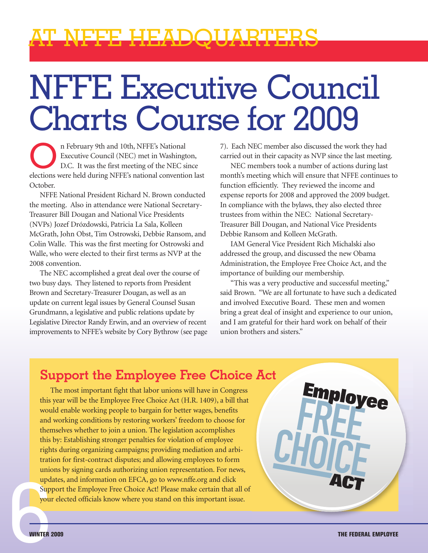## AT NFFE HEADQUARTERS

# NFFE Executive Council Charts Course for 2009

n February 9th and 10th, NFFE's National Executive Council (NEC) met in Washington, D.C. It was the first meeting of the NEC since elections were held during NFFE's national convention last October.

NFFE National President Richard N. Brown conducted the meeting. Also in attendance were National Secretary-Treasurer Bill Dougan and National Vice Presidents (NVPs) Jozef Drózdowski, Patricia La Sala, Kolleen McGrath, John Obst, Tim Ostrowski, Debbie Ransom, and Colin Walle. This was the first meeting for Ostrowski and Walle, who were elected to their first terms as NVP at the 2008 convention.

The NEC accomplished a great deal over the course of two busy days. They listened to reports from President Brown and Secretary-Treasurer Dougan, as well as an update on current legal issues by General Counsel Susan Grundmann, a legislative and public relations update by Legislative Director Randy Erwin, and an overview of recent improvements to NFFE's website by Cory Bythrow (see page 7). Each NEC member also discussed the work they had carried out in their capacity as NVP since the last meeting.

NEC members took a number of actions during last month's meeting which will ensure that NFFE continues to function efficiently. They reviewed the income and expense reports for 2008 and approved the 2009 budget. In compliance with the bylaws, they also elected three trustees from within the NEC: National Secretary-Treasurer Bill Dougan, and National Vice Presidents Debbie Ransom and Kolleen McGrath.

IAM General Vice President Rich Michalski also addressed the group, and discussed the new Obama Administration, the Employee Free Choice Act, and the importance of building our membership.

"This was a very productive and successful meeting," said Brown. "We are all fortunate to have such a dedicated and involved Executive Board. These men and women bring a great deal of insight and experience to our union, and I am grateful for their hard work on behalf of their union brothers and sisters."

### **Support the Employee Free Choice Act**

Example 10 and information on EFCA, go to www.nfte.org and click<br>Support the Employee Free Choice Act! Please make certain that all of<br>your elected officials know where you stand on this important issue.<br>WINTER 2009<br>THE FE The most important fight that labor unions will have in Congress this year will be the Employee Free Choice Act (H.R. 1409), a bill that would enable working people to bargain for better wages, benefits and working conditions by restoring workers' freedom to choose for themselves whether to join a union. The legislation accomplishes this by: Establishing stronger penalties for violation of employee rights during organizing campaigns; providing mediation and arbitration for first-contract disputes; and allowing employees to form unions by signing cards authorizing union representation. For news, updates, and information on EFCA, go to www.nffe.org and click Support the Employee Free Choice Act! Please make certain that all of your elected officials know where you stand on this important issue.

**Employee**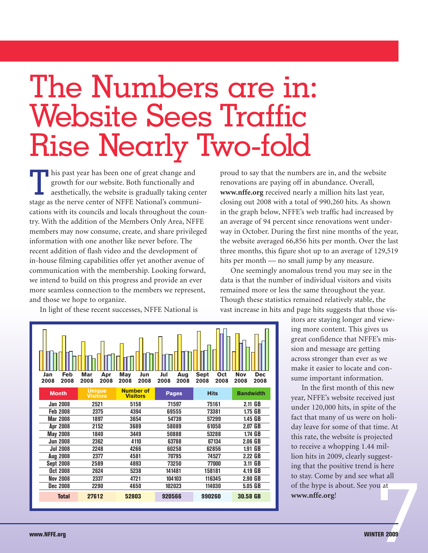## The Numbers are in: Website Sees Traffic Rise Nearly Two-fold

This past year has been one of great change and<br>growth for our website. Both functionally and<br>aesthetically, the website is gradually taking ce growth for our website. Both functionally and aesthetically, the website is gradually taking center stage as the nerve center of NFFE National's communications with its councils and locals throughout the country. With the addition of the Members Only Area, NFFE members may now consume, create, and share privileged information with one another like never before. The recent addition of flash video and the development of in-house filming capabilities offer yet another avenue of communication with the membership. Looking forward, we intend to build on this progress and provide an ever more seamless connection to the members we represent, and those we hope to organize.

In light of these recent successes, NFFE National is



proud to say that the numbers are in, and the website renovations are paying off in abundance. Overall, **www.nffe.org** received nearly a million hits last year, closing out 2008 with a total of 990,260 hits. As shown in the graph below, NFFE's web traffic had increased by an average of 94 percent since renovations went underway in October. During the first nine months of the year, the website averaged 66,856 hits per month. Over the last three months, this figure shot up to an average of 129,519 hits per month — no small jump by any measure.

One seemingly anomalous trend you may see in the data is that the number of individual visitors and visits remained more or less the same throughout the year. Though these statistics remained relatively stable, the vast increase in hits and page hits suggests that those vis-

> itors are staying longer and viewing more content. This gives us great confidence that NFFE's mission and message are getting across stronger than ever as we make it easier to locate and consume important information.

7**ER 2009** In the first month of this new year, NFFE's website received just under 120,000 hits, in spite of the fact that many of us were on holiday leave for some of that time. At this rate, the website is projected to receive a whopping 1.44 million hits in 2009, clearly suggesting that the positive trend is here to stay. Come by and see what all of the hype is about. See you at **www.nffe.org**!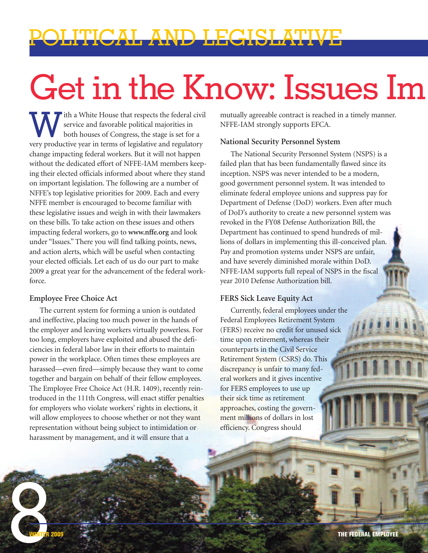## POLITICAL AND LEGISLATIVE

# Get in the Know: Issues Im

With a White House that respects the federal civil<br>service and favorable political majorities in<br>both houses of Congress, the stage is set for a<br>very productive year in terms of legislative and regulatory. service and favorable political majorities in both houses of Congress, the stage is set for a very productive year in terms of legislative and regulatory change impacting federal workers. But it will not happen without the dedicated effort of NFFE-IAM members keeping their elected officials informed about where they stand on important legislation. The following are a number of NFFE's top legislative priorities for 2009. Each and every NFFE member is encouraged to become familiar with these legislative issues and weigh in with their lawmakers on these bills. To take action on these issues and others impacting federal workers, go to **www.nffe.org** and look under "Issues." There you will find talking points, news, and action alerts, which will be useful when contacting your elected officials. Let each of us do our part to make 2009 a great year for the advancement of the federal workforce.

#### **Employee Free Choice Act**

The current system for forming a union is outdated and ineffective, placing too much power in the hands of the employer and leaving workers virtually powerless. For too long, employers have exploited and abused the deficiencies in federal labor law in their efforts to maintain power in the workplace. Often times these employees are harassed—even fired—simply because they want to come together and bargain on behalf of their fellow employees. The Employee Free Choice Act (H.R. 1409), recently reintroduced in the 111th Congress, will enact stiffer penalties for employers who violate workers' rights in elections, it will allow employees to choose whether or not they want representation without being subject to intimidation or harassment by management, and it will ensure that a

mutually agreeable contract is reached in a timely manner. NFFE-IAM strongly supports EFCA.

#### **National Security Personnel System**

The National Security Personnel System (NSPS) is a failed plan that has been fundamentally flawed since its inception. NSPS was never intended to be a modern, good government personnel system. It was intended to eliminate federal employee unions and suppress pay for Department of Defense (DoD) workers. Even after much of DoD's authority to create a new personnel system was revoked in the FY08 Defense Authorization Bill, the Department has continued to spend hundreds of millions of dollars in implementing this ill-conceived plan. Pay and promotion systems under NSPS are unfair, and have severely diminished morale within DoD. NFFE-IAM supports full repeal of NSPS in the fiscal year 2010 Defense Authorization bill.

### **FERS Sick Leave Equity Act**

Currently, federal employees under the Federal Employees Retirement System (FERS) receive no credit for unused sick time upon retirement, whereas their counterparts in the Civil Service Retirement System (CSRS) do. This discrepancy is unfair to many federal workers and it gives incentive for FERS employees to use up their sick time as retirement approaches, costing the government millions of dollars in lost efficiency. Congress should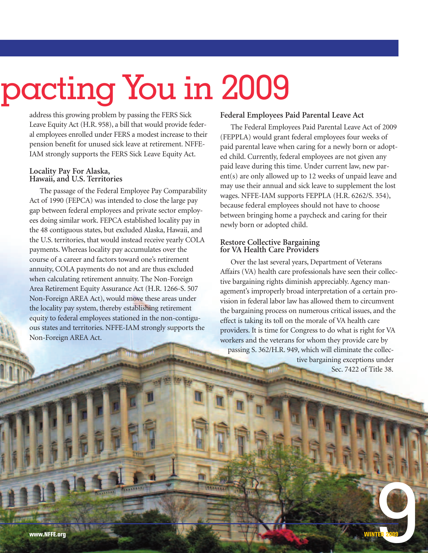# pacting You in 2009

address this growing problem by passing the FERS Sick Leave Equity Act (H.R. 958), a bill that would provide federal employees enrolled under FERS a modest increase to their pension benefit for unused sick leave at retirement. NFFE-IAM strongly supports the FERS Sick Leave Equity Act.

## **Locality Pay For Alaska, Hawaii, and U.S. Territories**

The passage of the Federal Employee Pay Comparability Act of 1990 (FEPCA) was intended to close the large pay gap between federal employees and private sector employees doing similar work. FEPCA established locality pay in the 48 contiguous states, but excluded Alaska, Hawaii, and the U.S. territories, that would instead receive yearly COLA payments. Whereas locality pay accumulates over the course of a career and factors toward one's retirement annuity, COLA payments do not and are thus excluded when calculating retirement annuity. The Non-Foreign Area Retirement Equity Assurance Act (H.R. 1266-S. 507 Non-Foreign AREA Act), would move these areas under the locality pay system, thereby establishing retirement equity to federal employees stationed in the non-contiguous states and territories. NFFE-IAM strongly supports the Non-Foreign AREA Act.

#### **Federal Employees Paid Parental Leave Act**

The Federal Employees Paid Parental Leave Act of 2009 (FEPPLA) would grant federal employees four weeks of paid parental leave when caring for a newly born or adopted child. Currently, federal employees are not given any paid leave during this time. Under current law, new parent(s) are only allowed up to 12 weeks of unpaid leave and may use their annual and sick leave to supplement the lost wages. NFFE-IAM supports FEPPLA (H.R. 6262/S. 354), because federal employees should not have to choose between bringing home a paycheck and caring for their newly born or adopted child.

### **Restore Collective Bargaining for VA Health Care Providers**

Over the last several years, Department of Veterans Affairs (VA) health care professionals have seen their collective bargaining rights diminish appreciably. Agency management's improperly broad interpretation of a certain provision in federal labor law has allowed them to circumvent the bargaining process on numerous critical issues, and the effect is taking its toll on the morale of VA health care providers. It is time for Congress to do what is right for VA workers and the veterans for whom they provide care by passing S. 362/H.R. 949, which will eliminate the collec-

tive bargaining exceptions under Sec. 7422 of Title 38.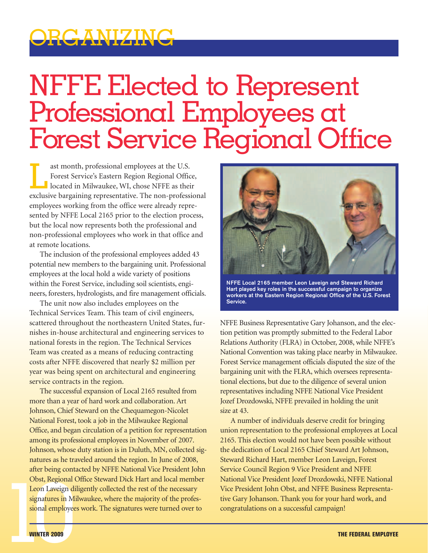

## NFFE Elected to Represent Professional Employees at Forest Service Regional Office

ast month, professional employees at the U.S. Forest Service's Eastern Region Regional Office,  $\blacksquare$  located in Milwaukee, WI, chose NFFE as their exclusive bargaining representative. The non-professional employees working from the office were already represented by NFFE Local 2165 prior to the election process, but the local now represents both the professional and non-professional employees who work in that office and at remote locations.

The inclusion of the professional employees added 43 potential new members to the bargaining unit. Professional employees at the local hold a wide variety of positions within the Forest Service, including soil scientists, engineers, foresters, hydrologists, and fire management officials.

The unit now also includes employees on the Technical Services Team. This team of civil engineers, scattered throughout the northeastern United States, furnishes in-house architectural and engineering services to national forests in the region. The Technical Services Team was created as a means of reducing contracting costs after NFFE discovered that nearly \$2 million per year was being spent on architectural and engineering service contracts in the region.

The successful expansion of Local 2165 resulted from more than a year of hard work and collaboration. Art Johnson, Chief Steward on the Chequamegon-Nicolet National Forest, took a job in the Milwaukee Regional Office, and began circulation of a petition for representation among its professional employees in November of 2007. Johnson, whose duty station is in Duluth, MN, collected signatures as he traveled around the region. In June of 2008, after being contacted by NFFE National Vice President John Obst, Regional Office Steward Dick Hart and local member Leon Laveign diligently collected the rest of the necessary signatures in Milwaukee, where the majority of the professional employees work. The signatures were turned over to



**NFFE Local 2165 member Leon Laveign and Steward Richard Hart played key roles in the successful campaign to organize workers at the Eastern Region Regional Office of the U.S. Forest Service.**

NFFE Business Representative Gary Johanson, and the election petition was promptly submitted to the Federal Labor Relations Authority (FLRA) in October, 2008, while NFFE's National Convention was taking place nearby in Milwaukee. Forest Service management officials disputed the size of the bargaining unit with the FLRA, which oversees representational elections, but due to the diligence of several union representatives including NFFE National Vice President Jozef Drozdowski, NFFE prevailed in holding the unit size at 43.

Obst, Regional Office Steward Dick Hart and local member<br>
10.000 Laveign diligently collected the rest of the necessary<br>
10.000 Vice President John Obst, and NFFE Business Representa-<br>
10.000 Vice President John Obst, and A number of individuals deserve credit for bringing union representation to the professional employees at Local 2165. This election would not have been possible without the dedication of Local 2165 Chief Steward Art Johnson, Steward Richard Hart, member Leon Laveign, Forest Service Council Region 9 Vice President and NFFE National Vice President Jozef Drozdowski, NFFE National Vice President John Obst, and NFFE Business Representative Gary Johanson. Thank you for your hard work, and congratulations on a successful campaign!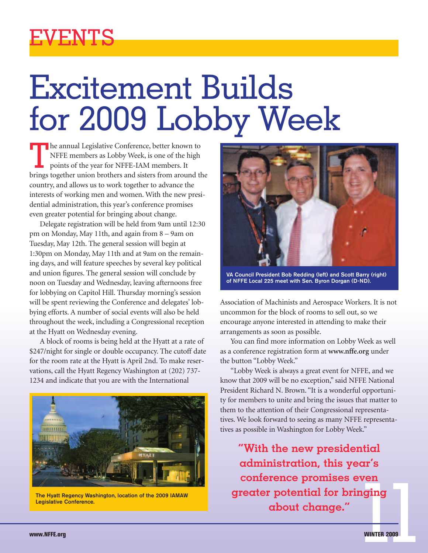

# Excitement Builds for 2009 Lobby Week

The annual Legislative Conference, better known to NFFE members as Lobby Week, is one of the high points of the year for NFFE-IAM members. It brings together union brothers and sisters from around the country, and allows us to work together to advance the interests of working men and women. With the new presidential administration, this year's conference promises even greater potential for bringing about change.

Delegate registration will be held from 9am until 12:30 pm on Monday, May 11th, and again from 8 – 9am on Tuesday, May 12th. The general session will begin at 1:30pm on Monday, May 11th and at 9am on the remaining days, and will feature speeches by several key political and union figures. The general session will conclude by noon on Tuesday and Wednesday, leaving afternoons free for lobbying on Capitol Hill. Thursday morning's session will be spent reviewing the Conference and delegates' lobbying efforts. A number of social events will also be held throughout the week, including a Congressional reception at the Hyatt on Wednesday evening.

A block of rooms is being held at the Hyatt at a rate of \$247/night for single or double occupancy. The cutoff date for the room rate at the Hyatt is April 2nd. To make reservations, call the Hyatt Regency Washington at (202) 737- 1234 and indicate that you are with the International



**The Hyatt Regency Washington, location of the 2009 IAMAW Legislative Conference.**



**VA Council President Bob Redding (left) and Scott Barry (right) of NFFE Local 225 meet with Sen. Byron Dorgan (D-ND).**

Association of Machinists and Aerospace Workers. It is not uncommon for the block of rooms to sell out, so we encourage anyone interested in attending to make their arrangements as soon as possible.

You can find more information on Lobby Week as well as a conference registration form at **www.nffe.org** under the button "Lobby Week."

"Lobby Week is always a great event for NFFE, and we know that 2009 will be no exception," said NFFE National President Richard N. Brown. "It is a wonderful opportunity for members to unite and bring the issues that matter to them to the attention of their Congressional representatives. We look forward to seeing as many NFFE representatives as possible in Washington for Lobby Week."

The Hyatt Regency Washington, location of the 2009 IAMAW **Example 2009** IAMAW **Example 2009** 2009 IAMAW **Example 2009 Example 2009 Example 2009 Example 2009 Example 2009 Example 2009 Example 2009 Example 2009 "With the new presidential administration, this year's conference promises even greater potential for bringing about change."**